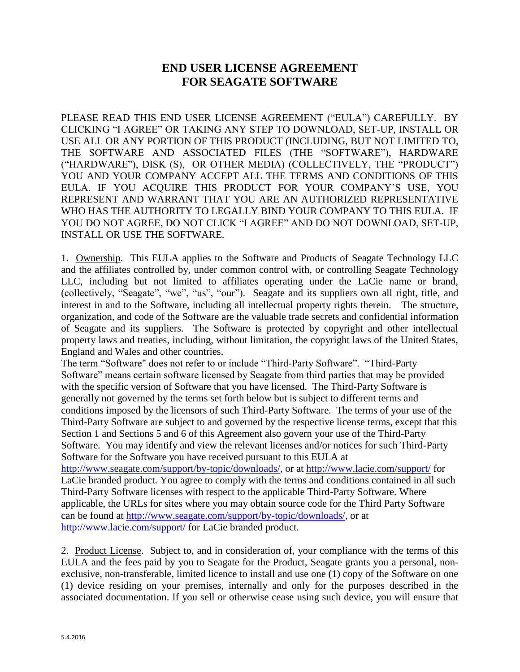## **END USER LICENSE AGREEMENT FOR SEAGATE SOFTWARE**

PLEASE READ THIS END USER LICENSE AGREEMENT ("EULA") CAREFULLY. BY CLICKING "I AGREE" OR TAKING ANY STEP TO DOWNLOAD, SET-UP, INSTALL OR USE ALL OR ANY PORTION OF THIS PRODUCT (INCLUDING, BUT NOT LIMITED TO, THE SOFTWARE AND ASSOCIATED FILES (THE "SOFTWARE"), HARDWARE ("HARDWARE"), DISK (S), OR OTHER MEDIA) (COLLECTIVELY, THE "PRODUCT") YOU AND YOUR COMPANY ACCEPT ALL THE TERMS AND CONDITIONS OF THIS EULA. IF YOU ACQUIRE THIS PRODUCT FOR YOUR COMPANY'S USE, YOU REPRESENT AND WARRANT THAT YOU ARE AN AUTHORIZED REPRESENTATIVE WHO HAS THE AUTHORITY TO LEGALLY BIND YOUR COMPANY TO THIS EULA. IF YOU DO NOT AGREE, DO NOT CLICK "I AGREE" AND DO NOT DOWNLOAD, SET-UP, INSTALL OR USE THE SOFTWARE.

1. Ownership. This EULA applies to the Software and Products of Seagate Technology LLC and the affiliates controlled by, under common control with, or controlling Seagate Technology LLC, including but not limited to affiliates operating under the LaCie name or brand, (collectively, "Seagate", "we", "us", "our"). Seagate and its suppliers own all right, title, and interest in and to the Software, including all intellectual property rights therein. The structure, organization, and code of the Software are the valuable trade secrets and confidential information of Seagate and its suppliers. The Software is protected by copyright and other intellectual property laws and treaties, including, without limitation, the copyright laws of the United States, England and Wales and other countries.

The term "Software" does not refer to or include "Third-Party Software". "Third-Party Software" means certain software licensed by Seagate from third parties that may be provided with the specific version of Software that you have licensed. The Third-Party Software is generally not governed by the terms set forth below but is subject to different terms and conditions imposed by the licensors of such Third-Party Software. The terms of your use of the Third-Party Software are subject to and governed by the respective license terms, except that this Section 1 and Sections 5 and 6 of this Agreement also govern your use of the Third-Party Software. You may identify and view the relevant licenses and/or notices for such Third-Party Software for the Software you have received pursuant to this EULA at

[http://www.seagate.com/support/by-topic/downloads/,](http://www.seagate.com/support/by-topic/downloads/) or at<http://www.lacie.com/support/> for LaCie branded product. You agree to comply with the terms and conditions contained in all such Third-Party Software licenses with respect to the applicable Third-Party Software. Where applicable, the URLs for sites where you may obtain source code for the Third Party Software can be found at [http://www.seagate.com/support/by-topic/downloads/,](http://www.seagate.com/support/by-topic/downloads/) or at <http://www.lacie.com/support/> for LaCie branded product.

2. Product License. Subject to, and in consideration of, your compliance with the terms of this EULA and the fees paid by you to Seagate for the Product, Seagate grants you a personal, nonexclusive, non-transferable, limited licence to install and use one (1) copy of the Software on one (1) device residing on your premises, internally and only for the purposes described in the associated documentation. If you sell or otherwise cease using such device, you will ensure that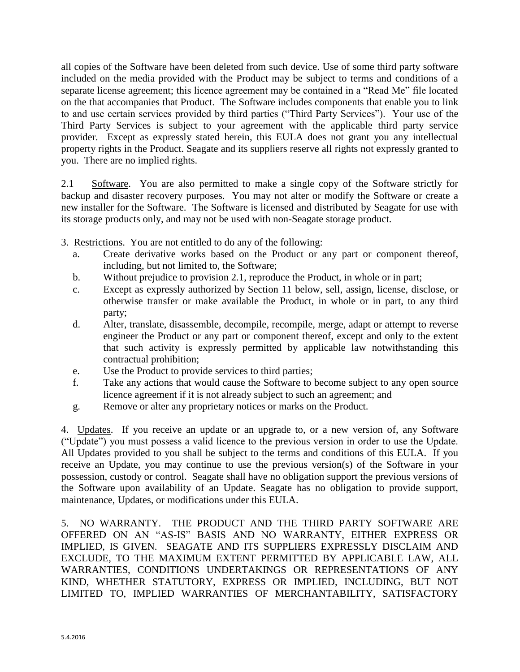all copies of the Software have been deleted from such device. Use of some third party software included on the media provided with the Product may be subject to terms and conditions of a separate license agreement; this licence agreement may be contained in a "Read Me" file located on the that accompanies that Product. The Software includes components that enable you to link to and use certain services provided by third parties ("Third Party Services"). Your use of the Third Party Services is subject to your agreement with the applicable third party service provider. Except as expressly stated herein, this EULA does not grant you any intellectual property rights in the Product. Seagate and its suppliers reserve all rights not expressly granted to you. There are no implied rights.

2.1 Software. You are also permitted to make a single copy of the Software strictly for backup and disaster recovery purposes. You may not alter or modify the Software or create a new installer for the Software. The Software is licensed and distributed by Seagate for use with its storage products only, and may not be used with non-Seagate storage product.

- 3. Restrictions. You are not entitled to do any of the following:
	- a. Create derivative works based on the Product or any part or component thereof, including, but not limited to, the Software;
	- b. Without prejudice to provision 2.1, reproduce the Product, in whole or in part;
	- c. Except as expressly authorized by Section 11 below, sell, assign, license, disclose, or otherwise transfer or make available the Product, in whole or in part, to any third party;
	- d. Alter, translate, disassemble, decompile, recompile, merge, adapt or attempt to reverse engineer the Product or any part or component thereof, except and only to the extent that such activity is expressly permitted by applicable law notwithstanding this contractual prohibition;
	- e. Use the Product to provide services to third parties;
	- f. Take any actions that would cause the Software to become subject to any open source licence agreement if it is not already subject to such an agreement; and
	- g. Remove or alter any proprietary notices or marks on the Product.

4. Updates. If you receive an update or an upgrade to, or a new version of, any Software ("Update") you must possess a valid licence to the previous version in order to use the Update. All Updates provided to you shall be subject to the terms and conditions of this EULA. If you receive an Update, you may continue to use the previous version(s) of the Software in your possession, custody or control. Seagate shall have no obligation support the previous versions of the Software upon availability of an Update. Seagate has no obligation to provide support, maintenance, Updates, or modifications under this EULA.

5. NO WARRANTY. THE PRODUCT AND THE THIRD PARTY SOFTWARE ARE OFFERED ON AN "AS-IS" BASIS AND NO WARRANTY, EITHER EXPRESS OR IMPLIED, IS GIVEN. SEAGATE AND ITS SUPPLIERS EXPRESSLY DISCLAIM AND EXCLUDE, TO THE MAXIMUM EXTENT PERMITTED BY APPLICABLE LAW, ALL WARRANTIES, CONDITIONS UNDERTAKINGS OR REPRESENTATIONS OF ANY KIND, WHETHER STATUTORY, EXPRESS OR IMPLIED, INCLUDING, BUT NOT LIMITED TO, IMPLIED WARRANTIES OF MERCHANTABILITY, SATISFACTORY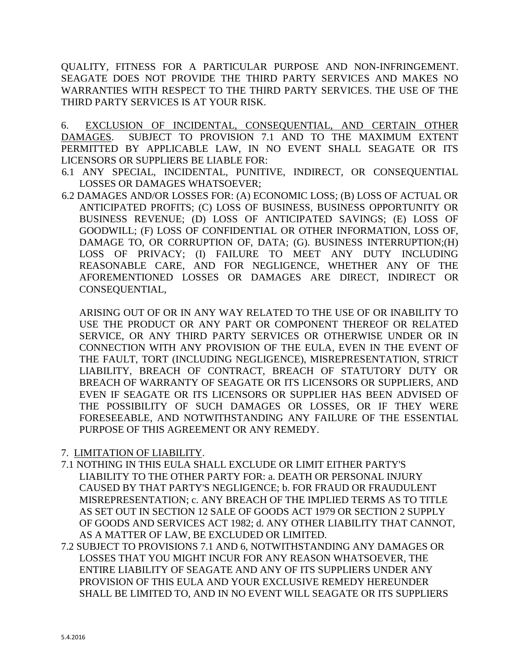QUALITY, FITNESS FOR A PARTICULAR PURPOSE AND NON-INFRINGEMENT. SEAGATE DOES NOT PROVIDE THE THIRD PARTY SERVICES AND MAKES NO WARRANTIES WITH RESPECT TO THE THIRD PARTY SERVICES. THE USE OF THE THIRD PARTY SERVICES IS AT YOUR RISK.

6. EXCLUSION OF INCIDENTAL, CONSEQUENTIAL, AND CERTAIN OTHER DAMAGES. SUBJECT TO PROVISION 7.1 AND TO THE MAXIMUM EXTENT PERMITTED BY APPLICABLE LAW, IN NO EVENT SHALL SEAGATE OR ITS LICENSORS OR SUPPLIERS BE LIABLE FOR:

- 6.1 ANY SPECIAL, INCIDENTAL, PUNITIVE, INDIRECT, OR CONSEQUENTIAL LOSSES OR DAMAGES WHATSOEVER;
- 6.2 DAMAGES AND/OR LOSSES FOR: (A) ECONOMIC LOSS; (B) LOSS OF ACTUAL OR ANTICIPATED PROFITS; (C) LOSS OF BUSINESS, BUSINESS OPPORTUNITY OR BUSINESS REVENUE; (D) LOSS OF ANTICIPATED SAVINGS; (E) LOSS OF GOODWILL; (F) LOSS OF CONFIDENTIAL OR OTHER INFORMATION, LOSS OF, DAMAGE TO, OR CORRUPTION OF, DATA; (G). BUSINESS INTERRUPTION;(H) LOSS OF PRIVACY; (I) FAILURE TO MEET ANY DUTY INCLUDING REASONABLE CARE, AND FOR NEGLIGENCE, WHETHER ANY OF THE AFOREMENTIONED LOSSES OR DAMAGES ARE DIRECT, INDIRECT OR CONSEQUENTIAL,

ARISING OUT OF OR IN ANY WAY RELATED TO THE USE OF OR INABILITY TO USE THE PRODUCT OR ANY PART OR COMPONENT THEREOF OR RELATED SERVICE, OR ANY THIRD PARTY SERVICES OR OTHERWISE UNDER OR IN CONNECTION WITH ANY PROVISION OF THE EULA, EVEN IN THE EVENT OF THE FAULT, TORT (INCLUDING NEGLIGENCE), MISREPRESENTATION, STRICT LIABILITY, BREACH OF CONTRACT, BREACH OF STATUTORY DUTY OR BREACH OF WARRANTY OF SEAGATE OR ITS LICENSORS OR SUPPLIERS, AND EVEN IF SEAGATE OR ITS LICENSORS OR SUPPLIER HAS BEEN ADVISED OF THE POSSIBILITY OF SUCH DAMAGES OR LOSSES, OR IF THEY WERE FORESEEABLE, AND NOTWITHSTANDING ANY FAILURE OF THE ESSENTIAL PURPOSE OF THIS AGREEMENT OR ANY REMEDY.

- 7. LIMITATION OF LIABILITY.
- 7.1 NOTHING IN THIS EULA SHALL EXCLUDE OR LIMIT EITHER PARTY'S LIABILITY TO THE OTHER PARTY FOR: a. DEATH OR PERSONAL INJURY CAUSED BY THAT PARTY'S NEGLIGENCE; b. FOR FRAUD OR FRAUDULENT MISREPRESENTATION; c. ANY BREACH OF THE IMPLIED TERMS AS TO TITLE AS SET OUT IN SECTION 12 SALE OF GOODS ACT 1979 OR SECTION 2 SUPPLY OF GOODS AND SERVICES ACT 1982; d. ANY OTHER LIABILITY THAT CANNOT, AS A MATTER OF LAW, BE EXCLUDED OR LIMITED.
- 7.2 SUBJECT TO PROVISIONS 7.1 AND 6, NOTWITHSTANDING ANY DAMAGES OR LOSSES THAT YOU MIGHT INCUR FOR ANY REASON WHATSOEVER, THE ENTIRE LIABILITY OF SEAGATE AND ANY OF ITS SUPPLIERS UNDER ANY PROVISION OF THIS EULA AND YOUR EXCLUSIVE REMEDY HEREUNDER SHALL BE LIMITED TO, AND IN NO EVENT WILL SEAGATE OR ITS SUPPLIERS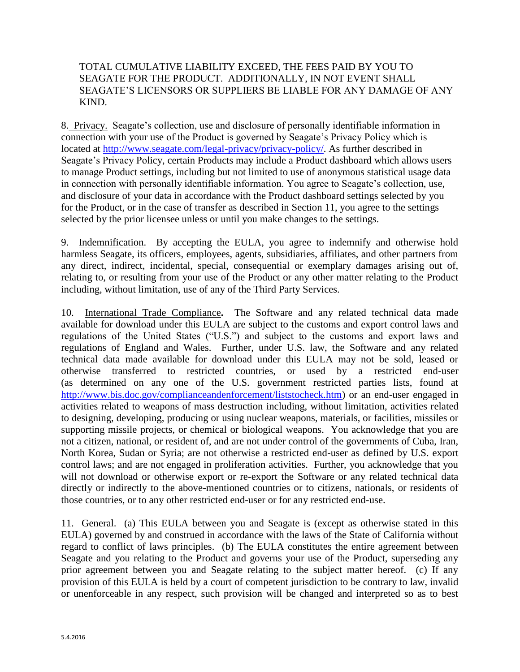## TOTAL CUMULATIVE LIABILITY EXCEED, THE FEES PAID BY YOU TO SEAGATE FOR THE PRODUCT. ADDITIONALLY, IN NOT EVENT SHALL SEAGATE'S LICENSORS OR SUPPLIERS BE LIABLE FOR ANY DAMAGE OF ANY KIND.

8. Privacy. Seagate's collection, use and disclosure of personally identifiable information in connection with your use of the Product is governed by Seagate's Privacy Policy which is located at [http://www.seagate.com/legal-privacy/privacy-policy/.](http://www.seagate.com/legal-privacy/privacy-policy/) As further described in Seagate's Privacy Policy, certain Products may include a Product dashboard which allows users to manage Product settings, including but not limited to use of anonymous statistical usage data in connection with personally identifiable information. You agree to Seagate's collection, use, and disclosure of your data in accordance with the Product dashboard settings selected by you for the Product, or in the case of transfer as described in Section 11, you agree to the settings selected by the prior licensee unless or until you make changes to the settings.

9. Indemnification. By accepting the EULA, you agree to indemnify and otherwise hold harmless Seagate, its officers, employees, agents, subsidiaries, affiliates, and other partners from any direct, indirect, incidental, special, consequential or exemplary damages arising out of, relating to, or resulting from your use of the Product or any other matter relating to the Product including, without limitation, use of any of the Third Party Services.

10. International Trade Compliance**.** The Software and any related technical data made available for download under this EULA are subject to the customs and export control laws and regulations of the United States ("U.S.") and subject to the customs and export laws and regulations of England and Wales. Further, under U.S. law, the Software and any related technical data made available for download under this EULA may not be sold, leased or otherwise transferred to restricted countries, or used by a restricted end-user (as determined on any one of the U.S. government restricted parties lists, found at http://www.bis.doc.gov/complianceandenforcement/liststocheck.htm) or an end-user engaged in activities related to weapons of mass destruction including, without limitation, activities related to designing, developing, producing or using nuclear weapons, materials, or facilities, missiles or supporting missile projects, or chemical or biological weapons. You acknowledge that you are not a citizen, national, or resident of, and are not under control of the governments of Cuba, Iran, North Korea, Sudan or Syria; are not otherwise a restricted end-user as defined by U.S. export control laws; and are not engaged in proliferation activities. Further, you acknowledge that you will not download or otherwise export or re-export the Software or any related technical data directly or indirectly to the above-mentioned countries or to citizens, nationals, or residents of those countries, or to any other restricted end-user or for any restricted end-use.

11. General. (a) This EULA between you and Seagate is (except as otherwise stated in this EULA) governed by and construed in accordance with the laws of the State of California without regard to conflict of laws principles. (b) The EULA constitutes the entire agreement between Seagate and you relating to the Product and governs your use of the Product, superseding any prior agreement between you and Seagate relating to the subject matter hereof. (c) If any provision of this EULA is held by a court of competent jurisdiction to be contrary to law, invalid or unenforceable in any respect, such provision will be changed and interpreted so as to best